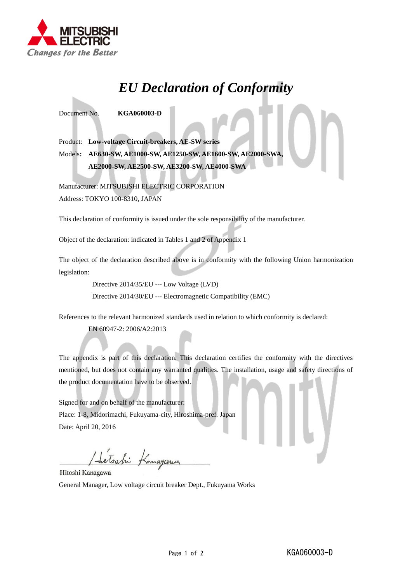

## *EU Declaration of Conformity*

Document No. **KGA060003-D**

Product: **Low-voltage Circuit-breakers, AE-SW series** Models**: AE630-SW, AE1000-SW, AE1250-SW, AE1600-SW, AE2000-SWA, AE2000-SW, AE2500-SW, AE3200-SW, AE4000-SWA**

Manufacturer: MITSUBISHI ELECTRIC CORPORATION Address: TOKYO 100-8310, JAPAN

This declaration of conformity is issued under the sole responsibility of the manufacturer.

Object of the declaration: indicated in Tables 1 and 2 of Appendix 1

The object of the declaration described above is in conformity with the following Union harmonization legislation:

Directive 2014/35/EU --- Low Voltage (LVD)

Directive 2014/30/EU --- Electromagnetic Compatibility (EMC)

References to the relevant harmonized standards used in relation to which conformity is declared:

EN 60947-2: 2006/A2:2013

The appendix is part of this declaration. This declaration certifies the conformity with the directives mentioned, but does not contain any warranted qualities. The installation, usage and safety directions of the product documentation have to be observed.

Signed for and on behalf of the manufacturer: Place: 1-8, Midorimachi, Fukuyama-city, Hiroshima-pref. Japan Date: April 20, 2016

Sitoshi Kanagan

Hitoshi Kanagawa General Manager, Low voltage circuit breaker Dept., Fukuyama Works